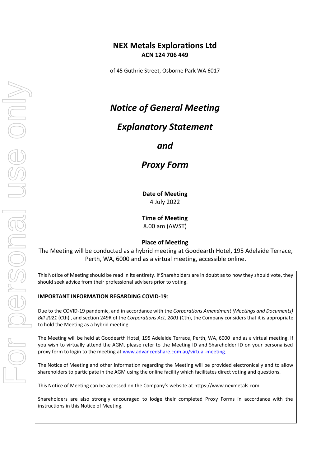## **NEX Metals Explorations Ltd ACN 124 706 449**

of 45 Guthrie Street, Osborne Park WA 6017

# *Notice of General Meeting*

## *Explanatory Statement*

*and*

*Proxy Form*

**Date of Meeting** 4 July 2022

**Time of Meeting** 8.00 am (AWST)

### **Place of Meeting**

The Meeting will be conducted as a hybrid meeting at Goodearth Hotel, 195 Adelaide Terrace, Perth, WA, 6000 and as a virtual meeting, accessible online.

This Notice of Meeting should be read in its entirety. If Shareholders are in doubt as to how they should vote, they should seek advice from their professional advisers prior to voting.

#### **IMPORTANT INFORMATION REGARDING COVID-19**:

Due to the COVID-19 pandemic, and in accordance with the *Corporations Amendment (Meetings and Documents) Bill 2021* (Cth) , and section 249R of the *Corporations Act, 2001* (Cth), the Company considers that it is appropriate to hold the Meeting as a hybrid meeting.

The Meeting will be held at Goodearth Hotel, 195 Adelaide Terrace, Perth, WA, 6000 and as a virtual meeting. If you wish to virtually attend the AGM, please refer to the Meeting ID and Shareholder ID on your personalised proxy form to login to the meeting a[t www.advancedshare.com.au/virtual-meeting.](http://www.advancedshare.com.au/virtual-meeting)

The Notice of Meeting and other information regarding the Meeting will be provided electronically and to allow shareholders to participate in the AGM using the online facility which facilitates direct voting and questions.

This Notice of Meeting can be accessed on the Company's website at https://www.nexmetals.com

Shareholders are also strongly encouraged to lodge their completed Proxy Forms in accordance with the instructions in this Notice of Meeting.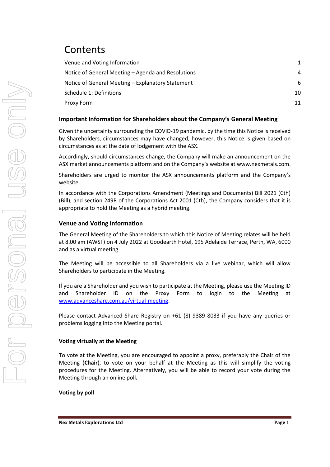# Contents

| Venue and Voting Information                       |    |
|----------------------------------------------------|----|
| Notice of General Meeting – Agenda and Resolutions | 4  |
| Notice of General Meeting – Explanatory Statement  | 6  |
| Schedule 1: Definitions                            | 10 |
| Proxy Form                                         |    |

### **Important Information for Shareholders about the Company's General Meeting**

Given the uncertainty surrounding the COVID-19 pandemic, by the time this Notice is received by Shareholders, circumstances may have changed, however, this Notice is given based on circumstances as at the date of lodgement with the ASX.

Accordingly, should circumstances change, the Company will make an announcement on the ASX market announcements platform and on the Company's website at www.nexmetals.com.

Shareholders are urged to monitor the ASX announcements platform and the Company's website.

In accordance with the Corporations Amendment (Meetings and Documents) Bill 2021 (Cth) (Bill), and section 249R of the Corporations Act 2001 (Cth), the Company considers that it is appropriate to hold the Meeting as a hybrid meeting.

### **Venue and Voting Information**

The General Meeting of the Shareholders to which this Notice of Meeting relates will be held at 8.00 am (AWST) on 4 July 2022 at Goodearth Hotel, 195 Adelaide Terrace, Perth, WA, 6000 and as a virtual meeting.

The Meeting will be accessible to all Shareholders via a live webinar, which will allow Shareholders to participate in the Meeting.

If you are a Shareholder and you wish to participate at the Meeting, please use the Meeting ID and Shareholder ID on the Proxy Form to login to the Meeting at [www.advanceshare.com.au/virtual-meeting.](http://www.advanceshare.com.au/virtual-meeting)

Please contact Advanced Share Registry on +61 (8) 9389 8033 if you have any queries or problems logging into the Meeting portal.

#### **Voting virtually at the Meeting**

To vote at the Meeting, you are encouraged to appoint a proxy, preferably the Chair of the Meeting (**Chair**), to vote on your behalf at the Meeting as this will simplify the voting procedures for the Meeting. Alternatively, you will be able to record your vote during the Meeting through an online poll*.*

### **Voting by poll**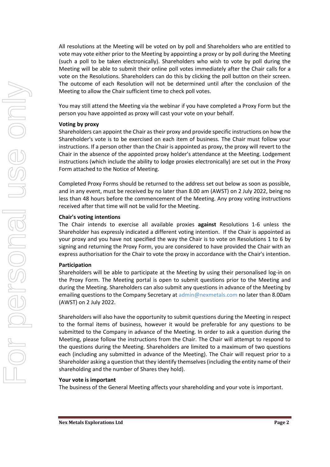All resolutions at the Meeting will be voted on by poll and Shareholders who are entitled to vote may vote either prior to the Meeting by appointing a proxy or by poll during the Meeting (such a poll to be taken electronically). Shareholders who wish to vote by poll during the Meeting will be able to submit their online poll votes immediately after the Chair calls for a vote on the Resolutions. Shareholders can do this by clicking the poll button on their screen. The outcome of each Resolution will not be determined until after the conclusion of the Meeting to allow the Chair sufficient time to check poll votes.

You may still attend the Meeting via the webinar if you have completed a Proxy Form but the person you have appointed as proxy will cast your vote on your behalf.

#### **Voting by proxy**

Shareholders can appoint the Chair as their proxy and provide specific instructions on how the Shareholder's vote is to be exercised on each item of business. The Chair must follow your instructions. If a person other than the Chair is appointed as proxy, the proxy will revert to the Chair in the absence of the appointed proxy holder's attendance at the Meeting. Lodgement instructions (which include the ability to lodge proxies electronically) are set out in the Proxy Form attached to the Notice of Meeting.

Completed Proxy Forms should be returned to the address set out below as soon as possible, and in any event, must be received by no later than 8.00 am (AWST) on 2 July 2022, being no less than 48 hours before the commencement of the Meeting. Any proxy voting instructions received after that time will not be valid for the Meeting.

#### **Chair's voting intentions**

The Chair intends to exercise all available proxies **against** Resolutions 1-6 unless the Shareholder has expressly indicated a different voting intention. If the Chair is appointed as your proxy and you have not specified the way the Chair is to vote on Resolutions 1 to 6 by signing and returning the Proxy Form, you are considered to have provided the Chair with an express authorisation for the Chair to vote the proxy in accordance with the Chair's intention.

#### **Participation**

Shareholders will be able to participate at the Meeting by using their personalised log-in on the Proxy Form. The Meeting portal is open to submit questions prior to the Meeting and during the Meeting. Shareholders can also submit any questions in advance of the Meeting by emailing questions to the Company Secretary at admin@nexmetals.com no later than 8.00am (AWST) on 2 July 2022.

Shareholders will also have the opportunity to submit questions during the Meeting in respect to the formal items of business, however it would be preferable for any questions to be submitted to the Company in advance of the Meeting. In order to ask a question during the Meeting, please follow the instructions from the Chair. The Chair will attempt to respond to the questions during the Meeting. Shareholders are limited to a maximum of two questions each (including any submitted in advance of the Meeting). The Chair will request prior to a Shareholder asking a question that they identify themselves (including the entity name of their shareholding and the number of Shares they hold).

#### **Your vote is important**

The business of the General Meeting affects your shareholding and your vote is important.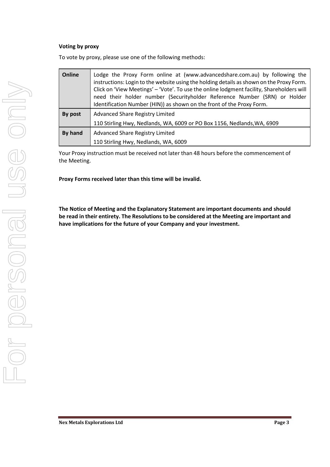#### **Voting by proxy**

To vote by proxy, please use one of the following methods:

| Online  | Lodge the Proxy Form online at (www.advancedshare.com.au) by following the<br>instructions: Login to the website using the holding details as shown on the Proxy Form.<br>Click on 'View Meetings' - 'Vote'. To use the online lodgment facility, Shareholders will<br>need their holder number (Securityholder Reference Number (SRN) or Holder<br>Identification Number (HIN)) as shown on the front of the Proxy Form. |  |  |
|---------|---------------------------------------------------------------------------------------------------------------------------------------------------------------------------------------------------------------------------------------------------------------------------------------------------------------------------------------------------------------------------------------------------------------------------|--|--|
| By post | <b>Advanced Share Registry Limited</b>                                                                                                                                                                                                                                                                                                                                                                                    |  |  |
|         | 110 Stirling Hwy, Nedlands, WA, 6009 or PO Box 1156, Nedlands, WA, 6909                                                                                                                                                                                                                                                                                                                                                   |  |  |
| By hand | <b>Advanced Share Registry Limited</b>                                                                                                                                                                                                                                                                                                                                                                                    |  |  |
|         | 110 Stirling Hwy, Nedlands, WA, 6009                                                                                                                                                                                                                                                                                                                                                                                      |  |  |

Your Proxy instruction must be received not later than 48 hours before the commencement of the Meeting.

**Proxy Forms received later than this time will be invalid.**

**The Notice of Meeting and the Explanatory Statement are important documents and should be read in their entirety. The Resolutions to be considered at the Meeting are important and have implications for the future of your Company and your investment.**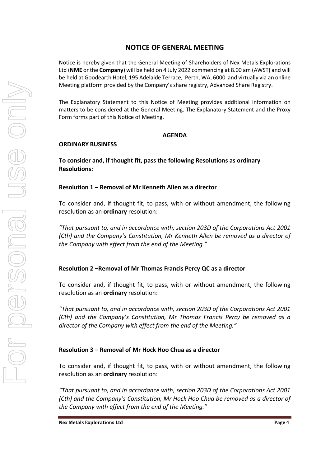## **NOTICE OF GENERAL MEETING**

Notice is hereby given that the General Meeting of Shareholders of Nex Metals Explorations Ltd (**NME** or the **Company**) will be held on 4 July 2022 commencing at 8.00 am (AWST) and will be held at Goodearth Hotel, 195 Adelaide Terrace, Perth, WA, 6000 and virtually via an online Meeting platform provided by the Company's share registry, Advanced Share Registry.

The Explanatory Statement to this Notice of Meeting provides additional information on matters to be considered at the General Meeting. The Explanatory Statement and the Proxy Form forms part of this Notice of Meeting.

### **AGENDA**

### **ORDINARY BUSINESS**

**To consider and, if thought fit, pass the following Resolutions as ordinary Resolutions:**

### **Resolution 1 – Removal of Mr Kenneth Allen as a director**

To consider and, if thought fit, to pass, with or without amendment, the following resolution as an **ordinary** resolution:

*"That pursuant to, and in accordance with, section 203D of the Corporations Act 2001 (Cth) and the Company's Constitution, Mr Kenneth Allen be removed as a director of the Company with effect from the end of the Meeting."*

### **Resolution 2 –Removal of Mr Thomas Francis Percy QC as a director**

To consider and, if thought fit, to pass, with or without amendment, the following resolution as an **ordinary** resolution:

*"That pursuant to, and in accordance with, section 203D of the Corporations Act 2001 (Cth) and the Company's Constitution, Mr Thomas Francis Percy be removed as a director of the Company with effect from the end of the Meeting."*

### **Resolution 3 – Removal of Mr Hock Hoo Chua as a director**

To consider and, if thought fit, to pass, with or without amendment, the following resolution as an **ordinary** resolution:

*"That pursuant to, and in accordance with, section 203D of the Corporations Act 2001 (Cth) and the Company's Constitution, Mr Hock Hoo Chua be removed as a director of the Company with effect from the end of the Meeting."*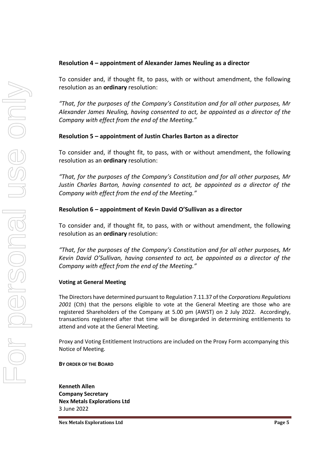### **Resolution 4 – appointment of Alexander James Neuling as a director**

To consider and, if thought fit, to pass, with or without amendment, the following resolution as an **ordinary** resolution:

*"That, for the purposes of the Company's Constitution and for all other purposes, Mr Alexander James Neuling, having consented to act, be appointed as a director of the Company with effect from the end of the Meeting."*

### **Resolution 5 – appointment of Justin Charles Barton as a director**

To consider and, if thought fit, to pass, with or without amendment, the following resolution as an **ordinary** resolution:

*"That, for the purposes of the Company's Constitution and for all other purposes, Mr Justin Charles Barton, having consented to act, be appointed as a director of the Company with effect from the end of the Meeting."*

### **Resolution 6 – appointment of Kevin David O'Sullivan as a director**

To consider and, if thought fit, to pass, with or without amendment, the following resolution as an **ordinary** resolution:

*"That, for the purposes of the Company's Constitution and for all other purposes, Mr Kevin David O'Sullivan, having consented to act, be appointed as a director of the Company with effect from the end of the Meeting."*

### **Voting at General Meeting**

The Directors have determined pursuant to Regulation 7.11.37 of the *Corporations Regulations 2001* (Cth) that the persons eligible to vote at the General Meeting are those who are registered Shareholders of the Company at 5.00 pm (AWST) on 2 July 2022. Accordingly, transactions registered after that time will be disregarded in determining entitlements to attend and vote at the General Meeting.

Proxy and Voting Entitlement Instructions are included on the Proxy Form accompanying this Notice of Meeting.

**BY ORDER OF THE BOARD**

**Kenneth Allen Company Secretary Nex Metals Explorations Ltd** 3 June 2022

**Nex Metals Explorations Ltd Page 5**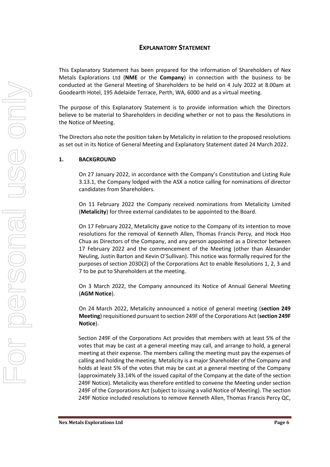### **EXPLANATORY STATEMENT**

This Explanatory Statement has been prepared for the information of Shareholders of Nex Metals Explorations Ltd (**NME** or the **Company**) in connection with the business to be conducted at the General Meeting of Shareholders to be held on 4 July 2022 at 8.00am at Goodearth Hotel, 195 Adelaide Terrace, Perth, WA, 6000 and as a virtual meeting.

The purpose of this Explanatory Statement is to provide information which the Directors believe to be material to Shareholders in deciding whether or not to pass the Resolutions in the Notice of Meeting.

The Directors also note the position taken by Metalicity in relation to the proposed resolutions as set out in its Notice of General Meeting and Explanatory Statement dated 24 March 2022.

#### **1. BACKGROUND**

On 27 January 2022, in accordance with the Company's Constitution and Listing Rule 3.13.1, the Company lodged with the ASX a notice calling for nominations of director candidates from Shareholders.

On 11 February 2022 the Company received nominations from Metalicity Limited (**Metalicity**) for three external candidates to be appointed to the Board.

On 17 February 2022, Metalicity gave notice to the Company of its intention to move resolutions for the removal of Kenneth Allen, Thomas Francis Percy, and Hock Hoo Chua as Directors of the Company, and any person appointed as a Director between 17 February 2022 and the commencement of the Meeting (other than Alexander Neuling, Justin Barton and Kevin O'Sullivan). This notice was formally required for the purposes of section 203D(2) of the Corporations Act to enable Resolutions 1, 2, 3 and 7 to be put to Shareholders at the meeting.

On 3 March 2022, the Company announced its Notice of Annual General Meeting (**AGM Notice**).

On 24 March 2022, Metalicity announced a notice of general meeting (**section 249 Meeting**) requisitioned pursuant to section 249F of the Corporations Act (**section 249F Notice**).

Section 249F of the Corporations Act provides that members with at least 5% of the votes that may be cast at a general meeting may call, and arrange to hold, a general meeting at their expense. The members calling the meeting must pay the expenses of calling and holding the meeting. Metalicity is a major Shareholder of the Company and holds at least 5% of the votes that may be cast at a general meeting of the Company (approximately 33.14% of the issued capital of the Company at the date of the section 249F Notice). Metalicity was therefore entitled to convene the Meeting under section 249F of the Corporations Act (subject to issuing a valid Notice of Meeting). The section 249F Notice included resolutions to remove Kenneth Allen, Thomas Francis Percy QC,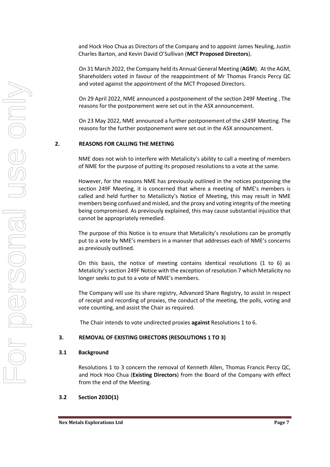and Hock Hoo Chua as Directors of the Company and to appoint James Neuling, Justin Charles Barton, and Kevin David O'Sullivan (**MCT Proposed Directors**).

On 31 March 2022, the Company held its Annual General Meeting (**AGM**). At the AGM, Shareholders voted in favour of the reappointment of Mr Thomas Francis Percy QC and voted against the appointment of the MCT Proposed Directors.

On 29 April 2022, NME announced a postponement of the section 249F Meeting . The reasons for the postponement were set out in the ASX announcement.

On 23 May 2022, NME announced a further postponement of the s249F Meeting. The reasons for the further postponement were set out in the ASX announcement.

#### **2. REASONS FOR CALLING THE MEETING**

NME does not wish to interfere with Metalicity's ability to call a meeting of members of NME for the purpose of putting its proposed resolutions to a vote at the same.

However, for the reasons NME has previously outlined in the notices postponing the section 249F Meeting, it is concerned that where a meeting of NME's members is called and held further to Metailicity's Notice of Meeting, this may result in NME members being confused and misled, and the proxy and voting integrity of the meeting being compromised. As previously explained, this may cause substantial injustice that cannot be appropriately remedied.

The purpose of this Notice is to ensure that Metalicity's resolutions can be promptly put to a vote by NME's members in a manner that addresses each of NME's concerns as previously outlined.

On this basis, the notice of meeting contains identical resolutions (1 to 6) as Metalicity's section 249F Notice with the exception of resolution 7 which Metalicity no longer seeks to put to a vote of NME's members.

The Company will use its share registry, Advanced Share Registry, to assist in respect of receipt and recording of proxies, the conduct of the meeting, the polls, voting and vote counting, and assist the Chair as required.

The Chair intends to vote undirected proxies **against** Resolutions 1 to 6.

#### **3. REMOVAL OF EXISTING DIRECTORS (RESOLUTIONS 1 TO 3)**

#### **3.1 Background**

Resolutions 1 to 3 concern the removal of Kenneth Allen, Thomas Francis Percy QC, and Hock Hoo Chua (**Existing Directors**) from the Board of the Company with effect from the end of the Meeting.

#### **3.2 Section 203D(1)**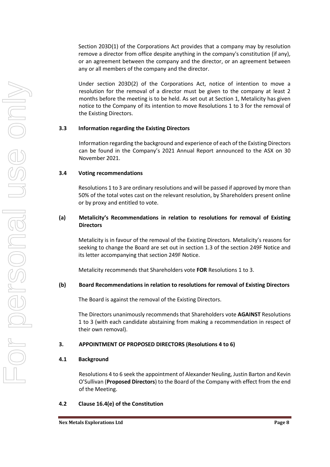Section 203D(1) of the Corporations Act provides that a company may by resolution remove a director from office despite anything in the company's constitution (if any), or an agreement between the company and the director, or an agreement between any or all members of the company and the director.

Under section 203D(2) of the Corporations Act, notice of intention to move a resolution for the removal of a director must be given to the company at least 2 months before the meeting is to be held. As set out at Section 1, Metalicity has given notice to the Company of its intention to move Resolutions 1 to 3 for the removal of the Existing Directors.

#### **3.3 Information regarding the Existing Directors**

Information regarding the background and experience of each of the Existing Directors can be found in the Company's 2021 Annual Report announced to the ASX on 30 November 2021.

#### **3.4 Voting recommendations**

Resolutions 1 to 3 are ordinary resolutions and will be passed if approved by more than 50% of the total votes cast on the relevant resolution, by Shareholders present online or by proxy and entitled to vote.

#### **(a) Metalicity's Recommendations in relation to resolutions for removal of Existing Directors**

Metalicity is in favour of the removal of the Existing Directors. Metalicity's reasons for seeking to change the Board are set out in section 1.3 of the section 249F Notice and its letter accompanying that section 249F Notice.

Metalicity recommends that Shareholders vote **FOR** Resolutions 1 to 3.

### **(b) Board Recommendations in relation to resolutions for removal of Existing Directors**

The Board is against the removal of the Existing Directors.

The Directors unanimously recommends that Shareholders vote **AGAINST** Resolutions 1 to 3 (with each candidate abstaining from making a recommendation in respect of their own removal).

### **3. APPOINTMENT OF PROPOSED DIRECTORS (Resolutions 4 to 6)**

#### **4.1 Background**

Resolutions 4 to 6 seek the appointment of Alexander Neuling, Justin Barton and Kevin O'Sullivan (**Proposed Directors**) to the Board of the Company with effect from the end of the Meeting.

### **4.2 Clause 16.4(e) of the Constitution**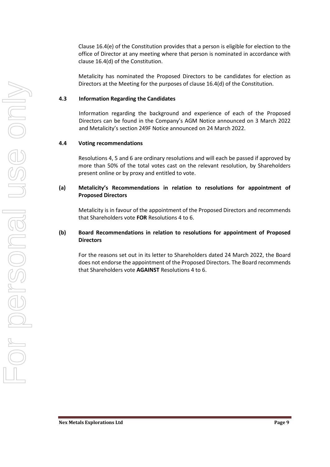Clause 16.4(e) of the Constitution provides that a person is eligible for election to the office of Director at any meeting where that person is nominated in accordance with clause 16.4(d) of the Constitution.

Metalicity has nominated the Proposed Directors to be candidates for election as Directors at the Meeting for the purposes of clause 16.4(d) of the Constitution.

#### **4.3 Information Regarding the Candidates**

Information regarding the background and experience of each of the Proposed Directors can be found in the Company's AGM Notice announced on 3 March 2022 and Metalicity's section 249F Notice announced on 24 March 2022.

#### **4.4 Voting recommendations**

Resolutions 4, 5 and 6 are ordinary resolutions and will each be passed if approved by more than 50% of the total votes cast on the relevant resolution, by Shareholders present online or by proxy and entitled to vote.

#### **(a) Metalicity's Recommendations in relation to resolutions for appointment of Proposed Directors**

Metalicity is in favour of the appointment of the Proposed Directors and recommends that Shareholders vote **FOR** Resolutions 4 to 6.

#### **(b) Board Recommendations in relation to resolutions for appointment of Proposed Directors**

For the reasons set out in its letter to Shareholders dated 24 March 2022, the Board does not endorse the appointment of the Proposed Directors. The Board recommends that Shareholders vote **AGAINST** Resolutions 4 to 6.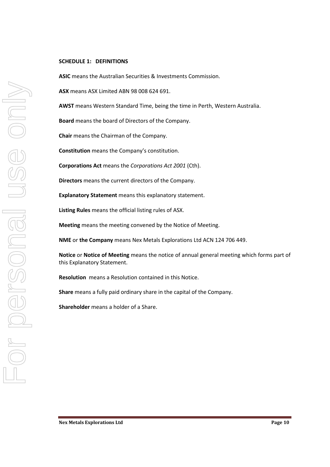#### **SCHEDULE 1: DEFINITIONS**

**ASIC** means the Australian Securities & Investments Commission.

**ASX** means ASX Limited ABN 98 008 624 691.

**AWST** means Western Standard Time, being the time in Perth, Western Australia.

**Board** means the board of Directors of the Company.

**Chair** means the Chairman of the Company.

**Constitution** means the Company's constitution.

**Corporations Act** means the *Corporations Act 2001* (Cth).

**Directors** means the current directors of the Company.

**Explanatory Statement** means this explanatory statement.

**Listing Rules** means the official listing rules of ASX.

**Meeting** means the meeting convened by the Notice of Meeting.

**NME** or **the Company** means Nex Metals Explorations Ltd ACN 124 706 449.

**Notice** or **Notice of Meeting** means the notice of annual general meeting which forms part of this Explanatory Statement.

**Resolution** means a Resolution contained in this Notice.

**Share** means a fully paid ordinary share in the capital of the Company.

**Shareholder** means a holder of a Share.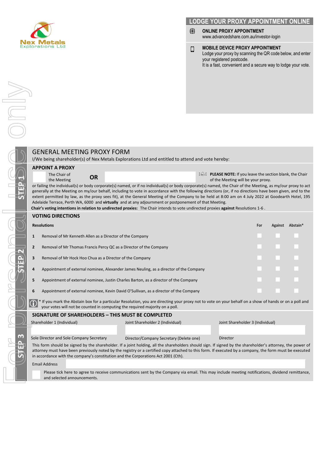

#### **LODGE YOUR PROXY APPOINTMENT ONLINE**

- ◈ **ONLINE PROXY APPOINTMENT** www.advancedshare.com.au/investor-login
- **MOBILE DEVICE PROXY APPOINTMENT**  $\Box$ Lodge your proxy by scanning the QR code below, and enter your registered postcode. It is a fast, convenient and a secure way to lodge your vote.

#### I/We being shareholder(s) of Nex Metals Explorations Ltd and entitled to attend and vote hereby: **APPOINT A PROXY** The Chair of the Chair of **OR OR PLEASE NOTE:** If you leave the section blank, the Chair the Meeting of the Meeting will be your proxy. of the Meeting will be your proxy. or failing the individual(s) or body corporate(s) named, or if no individual(s) or body corporate(s) named, the Chair of the Meeting, as my/our proxy to act generally at the Meeting on my/our behalf, including to vote in accordance with the following directions (or, if no directions have been given, and to the extent permitted by law, as the proxy sees fit), at the General Meeting of the Company to be held at 8:00 am on 4 July 2022 at Goodearth Hotel, 195 Adelaide Terrace, Perth WA, 6000 and **virtually** and at any adjournment or postponement of that Meeting. **Chair's voting intentions in relation to undirected proxies:** The Chair intends to vote undirected proxies **against** Resolutions 1-6 . **VOTING DIRECTIONS Resolutions For Against Abstain\***

| $\mathbf{1}$   | Removal of Mr Kenneth Allen as a Director of the Company                               |                                                                                                                |               |  |
|----------------|----------------------------------------------------------------------------------------|----------------------------------------------------------------------------------------------------------------|---------------|--|
| $\overline{2}$ | Removal of Mr Thomas Francis Percy QC as a Director of the Company                     |                                                                                                                | .             |  |
| 3              | Removal of Mr Hock Hoo Chua as a Director of the Company                               | a kacamatan ing Kabupatèn Kabupatèn Kabupatèn Kabupatèn Kabupatèn Kabupatèn Kabupatèn Kabupatèn Kabupatèn Kabu |               |  |
| 4              | Appointment of external nominee, Alexander James Neuling, as a director of the Company |                                                                                                                | .             |  |
| 5              | Appointment of external nominee, Justin Charles Barton, as a director of the Company   |                                                                                                                | a sa mga sang |  |
| 6              | Appointment of external nominee, Kevin David O'Sullivan, as a director of the Company  |                                                                                                                |               |  |

\* If you mark the Abstain box for a particular Resolution, you are directing your proxy not to vote on your behalf on a show of hands or on a poll and  $\circledcirc$ your votes will not be counted in computing the required majority on a poll.

#### **SIGNATURE OF SHAREHOLDERS – THIS MUST BE COMPLETED**

GENERAL MEETING PROXY FORM

| Shareholder 1 (Individual)                                                                                                                                 | Joint Shareholder 2 (Individual)        | Joint Shareholder 3 (Individual) |  |  |  |  |
|------------------------------------------------------------------------------------------------------------------------------------------------------------|-----------------------------------------|----------------------------------|--|--|--|--|
|                                                                                                                                                            |                                         |                                  |  |  |  |  |
|                                                                                                                                                            |                                         |                                  |  |  |  |  |
| Sole Director and Sole Company Secretary                                                                                                                   | Director/Company Secretary (Delete one) | Director                         |  |  |  |  |
| This form should be signed by the shareholder. If a joint holding, all the shareholders should sign. If signed by the shareholder's attorney, the power of |                                         |                                  |  |  |  |  |
| attorney must have heen previously noted by the registry or a certified convattached to this form if executed by a company the form must be executed       |                                         |                                  |  |  |  |  |

attorney must have been previously noted by the registry or a certified copy attached to this form. If executed by a company, the form must be executed in accordance with the company's constitution and the Corporations Act 2001 (Cth).

Email Address

Please tick here to agree to receive communications sent by the Company via email. This may include meeting notifications, dividend remittance, and selected announcements.